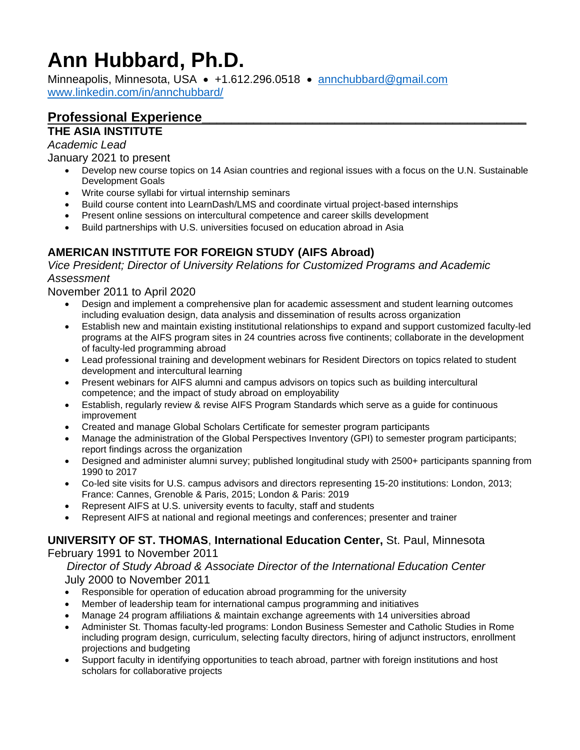# **Ann Hubbard, Ph.D.**

Minneapolis, Minnesota, USA • +1.612.296.0518 • [annchubbard@gmail.com](mailto:annchubbard@gmail.com) [www.linkedin.com/in/annchubbard/](http://www.linkedin.com/in/annchubbard/)

## **Professional Experience\_\_\_\_\_\_\_\_\_\_\_\_\_\_\_\_\_\_\_\_\_\_\_\_\_\_\_\_\_\_\_\_\_\_\_\_\_\_\_\_\_\_\_\_**

## **THE ASIA INSTITUTE**

*Academic Lead*

January 2021 to present

- Develop new course topics on 14 Asian countries and regional issues with a focus on the U.N. Sustainable Development Goals
- Write course syllabi for virtual internship seminars
- Build course content into LearnDash/LMS and coordinate virtual project-based internships
- Present online sessions on intercultural competence and career skills development
- Build partnerships with U.S. universities focused on education abroad in Asia

## **AMERICAN INSTITUTE FOR FOREIGN STUDY (AIFS Abroad)**

*Vice President; Director of University Relations for Customized Programs and Academic Assessment*

November 2011 to April 2020

- Design and implement a comprehensive plan for academic assessment and student learning outcomes including evaluation design, data analysis and dissemination of results across organization
- Establish new and maintain existing institutional relationships to expand and support customized faculty-led programs at the AIFS program sites in 24 countries across five continents; collaborate in the development of faculty-led programming abroad
- Lead professional training and development webinars for Resident Directors on topics related to student development and intercultural learning
- Present webinars for AIFS alumni and campus advisors on topics such as building intercultural competence; and the impact of study abroad on employability
- Establish, regularly review & revise AIFS Program Standards which serve as a guide for continuous improvement
- Created and manage Global Scholars Certificate for semester program participants
- Manage the administration of the Global Perspectives Inventory (GPI) to semester program participants; report findings across the organization
- Designed and administer alumni survey; published longitudinal study with 2500+ participants spanning from 1990 to 2017
- Co-led site visits for U.S. campus advisors and directors representing 15-20 institutions: London, 2013; France: Cannes, Grenoble & Paris, 2015; London & Paris: 2019
- Represent AIFS at U.S. university events to faculty, staff and students
- Represent AIFS at national and regional meetings and conferences; presenter and trainer

#### **UNIVERSITY OF ST. THOMAS**, **International Education Center,** St. Paul, Minnesota

February 1991 to November 2011

 *Director of Study Abroad & Associate Director of the International Education Center* July 2000 to November 2011

- Responsible for operation of education abroad programming for the university
- Member of leadership team for international campus programming and initiatives
- Manage 24 program affiliations & maintain exchange agreements with 14 universities abroad
- Administer St. Thomas faculty-led programs: London Business Semester and Catholic Studies in Rome including program design, curriculum, selecting faculty directors, hiring of adjunct instructors, enrollment projections and budgeting
- Support faculty in identifying opportunities to teach abroad, partner with foreign institutions and host scholars for collaborative projects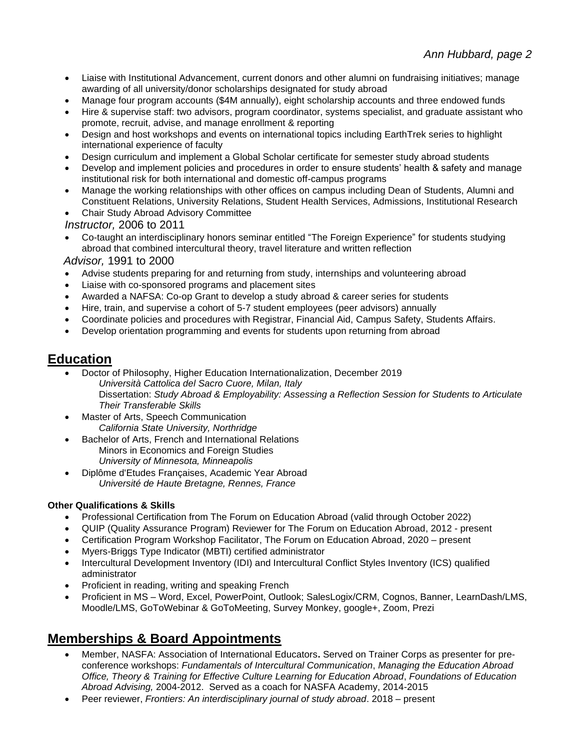- Liaise with Institutional Advancement, current donors and other alumni on fundraising initiatives; manage awarding of all university/donor scholarships designated for study abroad
- Manage four program accounts (\$4M annually), eight scholarship accounts and three endowed funds
- Hire & supervise staff: two advisors, program coordinator, systems specialist, and graduate assistant who promote, recruit, advise, and manage enrollment & reporting
- Design and host workshops and events on international topics including EarthTrek series to highlight international experience of faculty
- Design curriculum and implement a Global Scholar certificate for semester study abroad students
- Develop and implement policies and procedures in order to ensure students' health & safety and manage institutional risk for both international and domestic off-campus programs
- Manage the working relationships with other offices on campus including Dean of Students, Alumni and Constituent Relations, University Relations, Student Health Services, Admissions, Institutional Research
- Chair Study Abroad Advisory Committee

*Instructor,* 2006 to 2011

• Co-taught an interdisciplinary honors seminar entitled "The Foreign Experience" for students studying abroad that combined intercultural theory, travel literature and written reflection

 *Advisor,* 1991 to 2000

- Advise students preparing for and returning from study, internships and volunteering abroad
- Liaise with co-sponsored programs and placement sites
- Awarded a NAFSA: Co-op Grant to develop a study abroad & career series for students
- Hire, train, and supervise a cohort of 5-7 student employees (peer advisors) annually
- Coordinate policies and procedures with Registrar, Financial Aid, Campus Safety, Students Affairs.
- Develop orientation programming and events for students upon returning from abroad

## **Education**

- Doctor of Philosophy, Higher Education Internationalization, December 2019 *Università Cattolica del Sacro Cuore, Milan, Italy* Dissertation: *Study Abroad & Employability: Assessing a Reflection Session for Students to Articulate Their Transferable Skills*
- Master of Arts, Speech Communication *California State University, Northridge*
- Bachelor of Arts, French and International Relations Minors in Economics and Foreign Studies *University of Minnesota, Minneapolis*
- Diplôme d'Etudes Françaises, Academic Year Abroad *Université de Haute Bretagne, Rennes, France*

#### **Other Qualifications & Skills**

- Professional Certification from The Forum on Education Abroad (valid through October 2022)
- QUIP (Quality Assurance Program) Reviewer for The Forum on Education Abroad, 2012 present
- Certification Program Workshop Facilitator, The Forum on Education Abroad, 2020 present
- Myers-Briggs Type Indicator (MBTI) certified administrator
- Intercultural Development Inventory (IDI) and Intercultural Conflict Styles Inventory (ICS) qualified administrator
- Proficient in reading, writing and speaking French
- Proficient in MS Word, Excel, PowerPoint, Outlook; SalesLogix/CRM, Cognos, Banner, LearnDash/LMS, Moodle/LMS, GoToWebinar & GoToMeeting, Survey Monkey, google+, Zoom, Prezi

## **Memberships & Board Appointments**

- Member, NASFA: Association of International Educators**.** Served on Trainer Corps as presenter for preconference workshops: *Fundamentals of Intercultural Communication*, *Managing the Education Abroad Office, Theory & Training for Effective Culture Learning for Education Abroad*, *Foundations of Education Abroad Advising,* 2004-2012. Served as a coach for NASFA Academy, 2014-2015
- Peer reviewer, *Frontiers: An interdisciplinary journal of study abroad*. 2018 present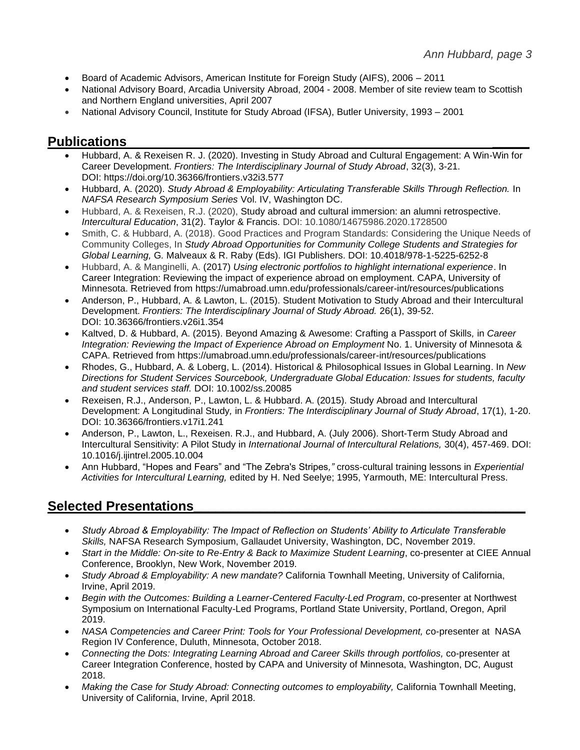- Board of Academic Advisors, American Institute for Foreign Study (AIFS), 2006 2011
- National Advisory Board, Arcadia University Abroad, 2004 2008. Member of site review team to Scottish and Northern England universities, April 2007
- National Advisory Council, Institute for Study Abroad (IFSA), Butler University, 1993 2001

#### **Publications \_\_\_\_\_**

- Hubbard, A. & Rexeisen R. J. (2020). Investing in Study Abroad and Cultural Engagement: A Win-Win for Career Development. *Frontiers: The Interdisciplinary Journal of Study Abroad*, 32(3), 3-21. DOI: <https://doi.org/10.36366/frontiers.v32i3.577>
- Hubbard, A. (2020). *Study Abroad & Employability: Articulating Transferable Skills Through Reflection.* In *NAFSA Research Symposium Series* Vol. IV, Washington DC.
- Hubbard, A. & Rexeisen, R.J. (2020), Study abroad and cultural immersion: an alumni retrospective. *Intercultural Education*, 31(2). Taylor & Francis. DOI: [10.1080/14675986.2020.1728500](https://doi.org/10.1080/14675986.2020.1728500)
- Smith, C. & Hubbard, A. (2018). Good Practices and Program Standards: Considering the Unique Needs of Community Colleges, In *Study Abroad Opportunities for Community College Students and Strategies for Global Learning,* G*.* Malveaux & R. Raby (Eds). IGI Publishers. DOI: 10.4018/978-1-5225-6252-8
- Hubbard, A. & Manginelli, A. (2017) *Using electronic portfolios to highlight international experience*. In Career Integration: Reviewing the impact of experience abroad on employment. CAPA, University of Minnesota. Retrieved from https://umabroad.umn.edu/professionals/career-int/resources/publications
- Anderson, P., Hubbard, A. & Lawton, L. (2015). Student Motivation to Study Abroad and their Intercultural Development. *Frontiers: The Interdisciplinary Journal of Study Abroad.* 26(1), 39-52. DOI: [10.36366/frontiers.v26i1.354](https://doi.org/10.36366/frontiers.v26i1.354)
- Kaltved, D. & Hubbard, A. (2015). Beyond Amazing & Awesome: Crafting a Passport of Skills*,* in *Career Integration: Reviewing the Impact of Experience Abroad on Employment* No. 1. University of Minnesota & CAPA. Retrieved from https://umabroad.umn.edu/professionals/career-int/resources/publications
- Rhodes, G., Hubbard, A. & Loberg, L. (2014). Historical & Philosophical Issues in Global Learning. In *New Directions for Student Services Sourcebook, Undergraduate Global Education: Issues for students, faculty and student services staff.* DOI: 10.1002/ss.20085
- Rexeisen, R.J., Anderson, P., Lawton, L. & Hubbard. A. (2015). Study Abroad and Intercultural Development: A Longitudinal Study*,* in *Frontiers: The Interdisciplinary Journal of Study Abroad*, 17(1), 1-20. DOI: [10.36366/frontiers.v17i1.241](https://doi.org/10.36366/frontiers.v17i1.241)
- Anderson, P., Lawton, L., Rexeisen. R.J., and Hubbard, A. (July 2006). Short-Term Study Abroad and Intercultural Sensitivity: A Pilot Study in *International Journal of Intercultural Relations,* 30(4), 457-469. DOI: [10.1016/j.ijintrel.2005.10.004](https://doi.org/10.1016/j.ijintrel.2005.10.004)
- Ann Hubbard, "Hopes and Fears" and "The Zebra's Stripes*,"* cross-cultural training lessons in *Experiential Activities for Intercultural Learning,* edited by H. Ned Seelye; 1995, Yarmouth, ME: Intercultural Press.

## **Selected Presentations\_\_\_\_\_\_\_\_\_\_\_\_\_\_\_\_\_\_\_\_\_\_\_\_\_\_\_\_\_\_\_\_\_\_\_\_\_\_\_\_\_\_\_\_\_**

- *Study Abroad & Employability: The Impact of Reflection on Students' Ability to Articulate Transferable Skills,* NAFSA Research Symposium, Gallaudet University, Washington, DC, November 2019.
- *Start in the Middle: On-site to Re-Entry & Back to Maximize Student Learning*, co-presenter at CIEE Annual Conference, Brooklyn, New Work, November 2019.
- *Study Abroad & Employability: A new mandate?* California Townhall Meeting, University of California, Irvine, April 2019.
- *Begin with the Outcomes: Building a Learner-Centered Faculty-Led Program*, co-presenter at Northwest Symposium on International Faculty-Led Programs, Portland State University, Portland, Oregon, April 2019.
- *NASA Competencies and Career Print: Tools for Your Professional Development, c*o-presenter at NASA Region IV Conference, Duluth, Minnesota, October 2018.
- *Connecting the Dots: Integrating Learning Abroad and Career Skills through portfolios,* co-presenter at Career Integration Conference, hosted by CAPA and University of Minnesota, Washington, DC, August 2018.
- *Making the Case for Study Abroad: Connecting outcomes to employability,* California Townhall Meeting, University of California, Irvine, April 2018.